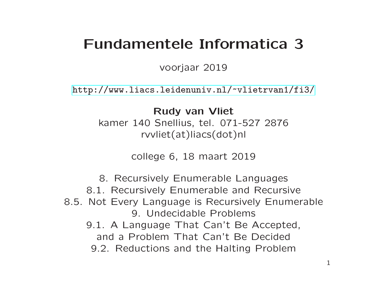# Fundamentele Informatica 3

voorjaar 2019

[http://www.liacs.leidenuniv.nl/](http://www.liacs.leidenuniv.nl/~vlietrvan1/fi3/) ~vlietrvan1/fi3/

Rudy van Vliet kamer 140 Snellius, tel. 071-527 2876 rvvliet(at)liacs(dot)nl

college 6, 18 maart 2019

8. Recursively Enumerable Languages 8.1. Recursively Enumerable and Recursive 8.5. Not Every Language is Recursively Enumerable 9. Undecidable Problems 9.1. A Language That Can't Be Accepted, and a Problem That Can't Be Decided 9.2. Reductions and the Halting Problem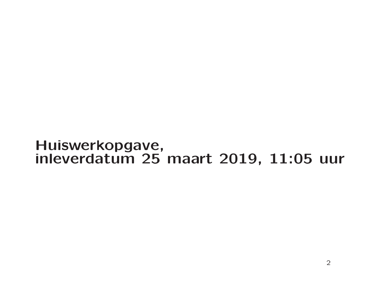### Huiswerkopgave, inleverdatum 25 maart 2019, 11:05 uur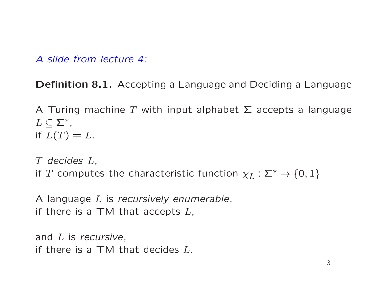Definition 8.1. Accepting <sup>a</sup> Language and Deciding <sup>a</sup> Language

A Turing machine T with input alphabet  $\Sigma$  accepts a language  $L\subseteq\Sigma^*$ , if  $L(T) = L$ .

T decides L, if T computes the characteristic function  $\chi_L : \Sigma^* \to \{0,1\}$ 

A language L is recursively enumerable, if there is a TM that accepts  $L$ ,

```
and L is recursive,
if there is a TM that decides L.
```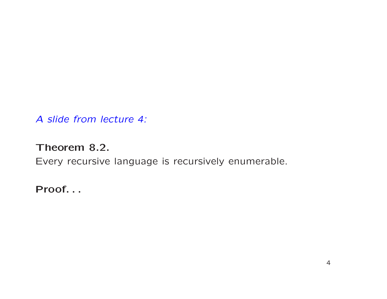#### Theorem 8.2.

Every recursive language is recursively enumerable.

Proof. . .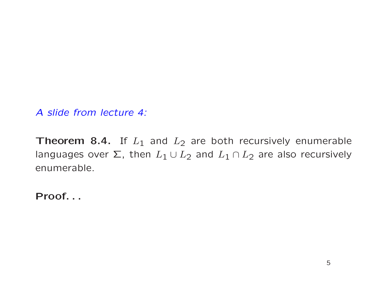**Theorem 8.4.** If  $L_1$  and  $L_2$  are both recursively enumerable languages over  $\Sigma$ , then  $L_1 \cup L_2$  and  $L_1 \cap L_2$  are also recursively enumerable.

Proof. . .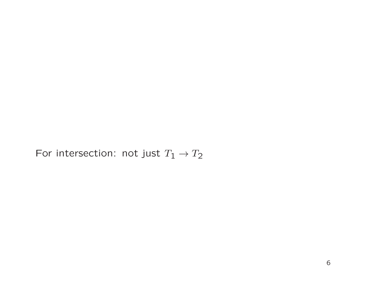For intersection: not just  $T_1 \rightarrow T_2$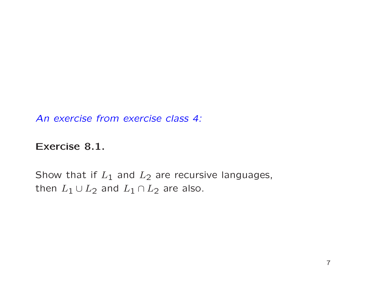An exercise from exercise class 4:

Exercise 8.1.

Show that if  $L_1$  and  $L_2$  are recursive languages, then  $L_1\cup L_2$  and  $L_1\cap L_2$  are also.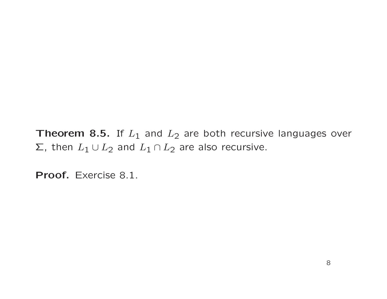**Theorem 8.5.** If  $L_1$  and  $L_2$  are both recursive languages over  $\Sigma$ , then  $L_1 \cup L_2$  and  $L_1 \cap L_2$  are also recursive.

Proof. Exercise 8.1.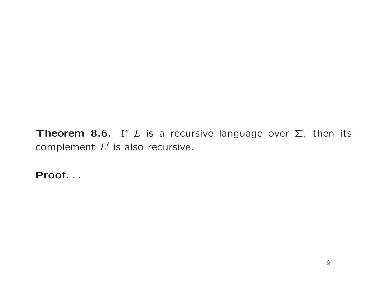Theorem 8.6. If L is a recursive language over  $\Sigma$ , then its complement  $L'$  is also recursive.

Proof. . .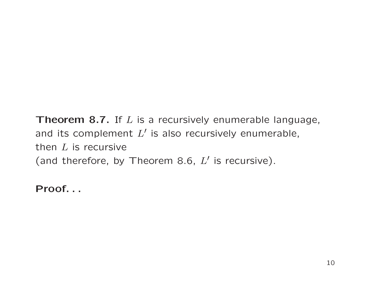Theorem 8.7. If  $L$  is a recursively enumerable language, and its complement  $L'$  is also recursively enumerable, then  $L$  is recursive (and therefore, by Theorem 8.6,  $L'$  is recursive).

Proof. . .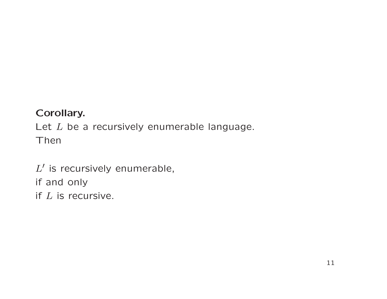#### Corollary.

Let  $L$  be a recursively enumerable language. Then

 $L'$  is recursively enumerable, if and only if  $L$  is recursive.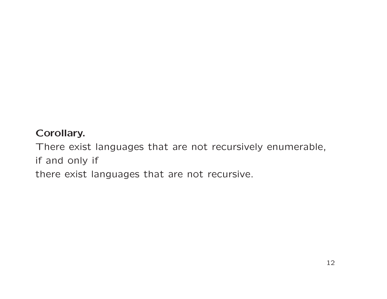#### Corollary.

There exist languages that are not recursively enumerable, if and only if there exist languages that are not recursive.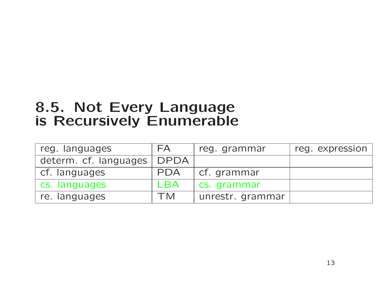# 8.5. Not Every Language is Recursively Enumerable

| reg. languages        | FA          | reg. grammar     | reg. expression |
|-----------------------|-------------|------------------|-----------------|
| determ. cf. languages | <b>DPDA</b> |                  |                 |
| cf. languages         | <b>PDA</b>  | cf. grammar      |                 |
| cs. languages         | LBA         | cs. grammar      |                 |
| re. languages         | TM          | unrestr. grammar |                 |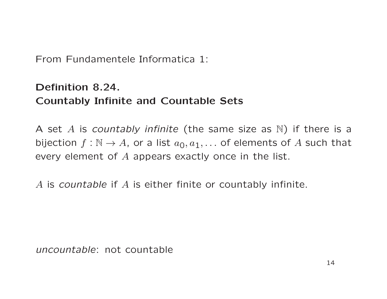From Fundamentele Informatica 1:

#### Definition 8.24. Countably Infinite and Countable Sets

A set  $A$  is countably infinite (the same size as  $\mathbb N)$  if there is a bijection  $f: \mathbb{N} \to A$ , or a list  $a_0, a_1, \ldots$  of elements of  $A$  such that every element of  $A$  appears exactly once in the list.

 $A$  is countable if  $A$  is either finite or countably infinite.

uncountable: not countable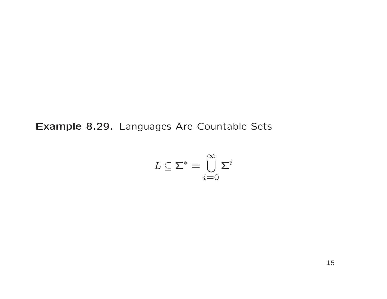Example 8.29. Languages Are Countable Sets

$$
L \subseteq \Sigma^* = \bigcup_{i=0}^{\infty} \Sigma^i
$$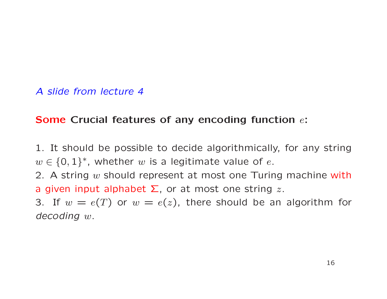#### Some Crucial features of any encoding function  $e$ :

1. It should be possible to decide algorithmically, for any string  $w \in \{0,1\}^*$ , whether w is a legitimate value of e.

2. A string  $w$  should represent at most one Turing machine with a given input alphabet  $\Sigma$ , or at most one string z.

3. If  $w = e(T)$  or  $w = e(z)$ , there should be an algorithm for decoding <sup>w</sup>.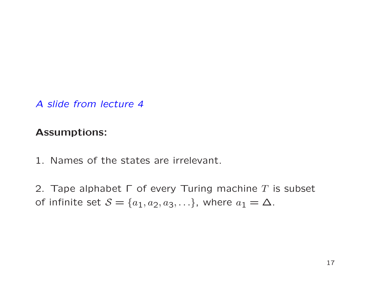#### Assumptions:

- 1. Names of the states are irrelevant.
- 2. Tape alphabet  $\Gamma$  of every Turing machine  $T$  is subset of infinite set  $S = \{a_1, a_2, a_3, ...\}$ , where  $a_1 = \Delta$ .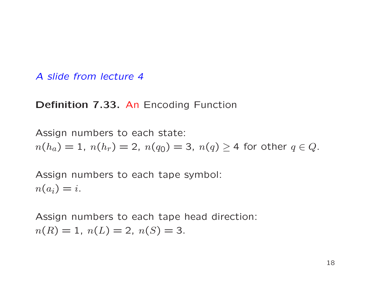#### Definition 7.33. An Encoding Function

Assign numbers to each state:  $n(h_a) = 1$ ,  $n(h_r) = 2$ ,  $n(q_0) = 3$ ,  $n(q) \ge 4$  for other  $q \in Q$ .

Assign numbers to each tape symbol:  $n(a_i) = i$ .

Assign numbers to each tape head direction:  $n(R) = 1, n(L) = 2, n(S) = 3.$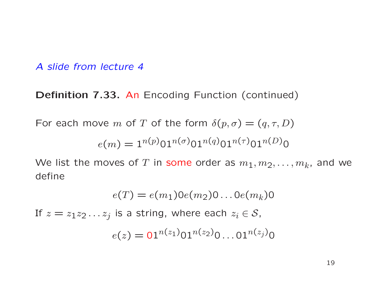Definition 7.33. An Encoding Function (continued)

For each move m of T of the form  $\delta(p,\sigma) = (q,\tau,D)$ 

$$
e(m) = 1^{n(p)} 01^{n(\sigma)} 01^{n(q)} 01^{n(\tau)} 01^{n(D)} 0
$$

We list the moves of T in some order as  $m_1, m_2, \ldots, m_k$ , and we define

$$
e(T) = e(m_1)0e(m_2)0\ldots 0e(m_k)0
$$

If  $z = z_1z_2 \ldots z_j$  is a string, where each  $z_i \in S$ ,  $e(z) = 01^{n(z_1)} 01^{n(z_2)} 0 \dots 01^{n(z_j)} 0$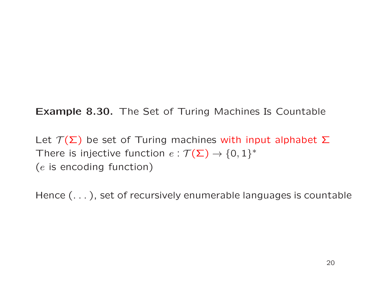Example 8.30. The Set of Turing Machines Is Countable

Let  $\mathcal{T}(\Sigma)$  be set of Turing machines with input alphabet  $\Sigma$ There is injective function  $e : \mathcal{T}(\Sigma) \to \{0,1\}^*$ (e is encoding function)

Hence (. . . ), set of recursively enumerable languages is countable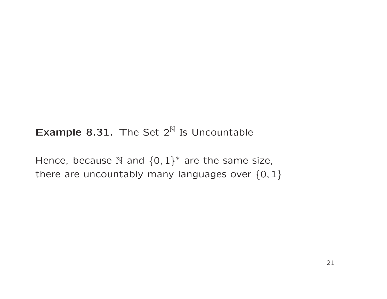#### **Example 8.31.** The Set  $2^N$  Is Uncountable

Hence, because N and  $\{0,1\}^*$  are the same size, there are uncountably many languages over  $\{0,1\}$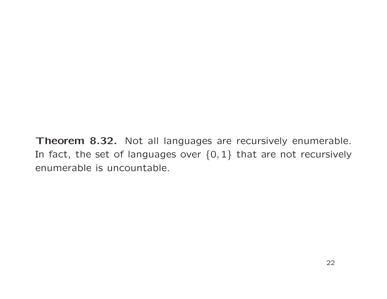Theorem 8.32. Not all languages are recursively enumerable. In fact, the set of languages over  $\{0,1\}$  that are not recursively enumerable is uncountable.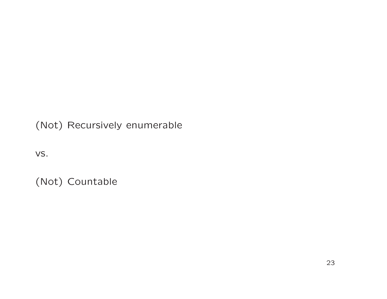(Not) Recursively enumerable

vs.

(Not) Countable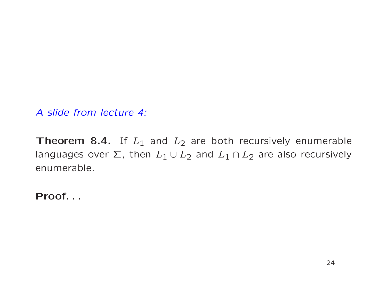**Theorem 8.4.** If  $L_1$  and  $L_2$  are both recursively enumerable languages over  $\Sigma$ , then  $L_1 \cup L_2$  and  $L_1 \cap L_2$  are also recursively enumerable.

Proof. . .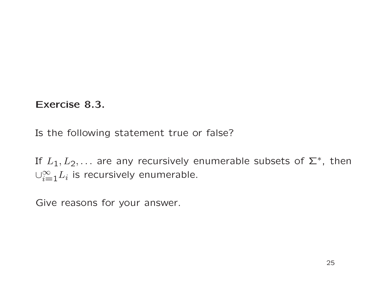#### Exercise 8.3.

Is the following statement true or false?

If  $L_1, L_2, \ldots$  are any recursively enumerable subsets of  $\Sigma^*$ , then  $\cup_{i=1}^{\infty}L_i$  is recursively enumerable.

Give reasons for your answer.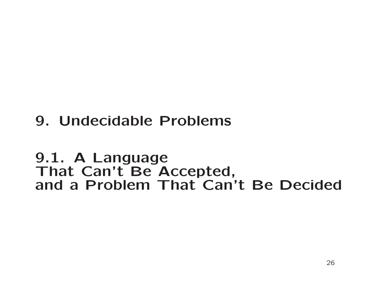# 9. Undecidable Problems

## 9.1. A Language That Can't Be Accepted, and a Problem That Can't Be Decided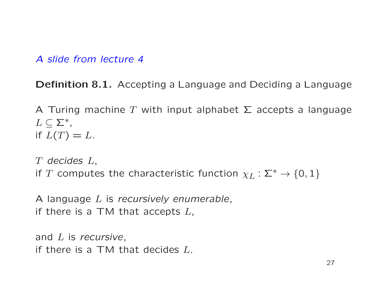Definition 8.1. Accepting <sup>a</sup> Language and Deciding <sup>a</sup> Language

A Turing machine T with input alphabet  $\Sigma$  accepts a language  $L\subseteq\Sigma^*$ , if  $L(T) = L$ .

T decides L, if T computes the characteristic function  $\chi_L : \Sigma^* \to \{0,1\}$ 

A language L is recursively enumerable, if there is a TM that accepts  $L$ ,

and  $L$  is recursive, if there is a TM that decides  $L$ .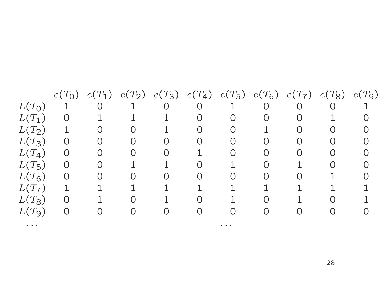|                                                                                             | $e(T_0)$       | $e(T_1)$       | $e(T_2)$ | $e(T_3)$       | $e(T_4)$ | $e(T_5)$                                                                                    | $e(T_6)$       | $e(T_7)$ | $e(T_8)$ | $e(T_9)$ |
|---------------------------------------------------------------------------------------------|----------------|----------------|----------|----------------|----------|---------------------------------------------------------------------------------------------|----------------|----------|----------|----------|
| $L(T_0)$                                                                                    | 1              | $\overline{0}$ |          | $\overline{0}$ | O        |                                                                                             | $\overline{O}$ | O        | O        |          |
| $L(T_1)$                                                                                    | O              |                |          |                |          |                                                                                             | $\overline{0}$ |          |          |          |
| $L(T_2)$                                                                                    |                |                |          |                |          |                                                                                             |                |          |          |          |
| $L(T_3)$                                                                                    | O              |                |          | O              |          | $\bigcap$                                                                                   | $\Omega$       |          |          |          |
| $L(T_4)$                                                                                    | $\Omega$       | $\Omega$       |          | $\bigcap$      |          |                                                                                             | $\Omega$       |          |          |          |
| $L(T_5)$                                                                                    | $\overline{0}$ | $\cap$         |          |                |          |                                                                                             | $\bigcap$      |          |          |          |
| $L(T_6)$                                                                                    | $\Omega$       | $\cap$         |          | $\bigcap$      | ∩        |                                                                                             | $\bigcap$      |          |          |          |
| $L(T_7)$                                                                                    | 1              |                |          |                |          |                                                                                             |                |          |          |          |
| $L(T_8)$                                                                                    | Ω              |                |          |                |          |                                                                                             |                |          |          |          |
| $L(T_9)$                                                                                    | O              |                |          |                |          |                                                                                             |                |          |          |          |
| $\begin{array}{cccccccccccccc} \bullet & \bullet & \bullet & \bullet & \bullet \end{array}$ |                |                |          |                |          | $\begin{array}{cccccccccccccc} \bullet & \bullet & \bullet & \bullet & \bullet \end{array}$ |                |          |          |          |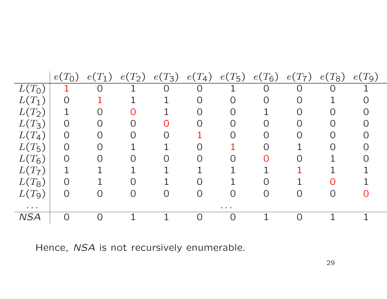|                                   | $e(T_0)$       | $e(T_1)$ | $(T_2)$<br>e( | $e(T_3)$       | $e(T_4)$       | $e(T_5)$                                    | $e(T_6)$       | $T_{7})$<br>e( | $e(T_8)$ | $e(T_9)$ |
|-----------------------------------|----------------|----------|---------------|----------------|----------------|---------------------------------------------|----------------|----------------|----------|----------|
| $L(T_{\mathsf{O}})$               |                | O        |               | $\overline{O}$ | $\overline{O}$ |                                             | $\overline{0}$ | $\overline{O}$ | O        |          |
| $L(T_1)$                          | $\overline{0}$ |          |               |                |                |                                             |                |                |          |          |
| $L(T_2)$                          |                |          |               |                |                |                                             |                |                |          |          |
| $L(T_3)$                          | $\overline{0}$ |          |               |                |                |                                             |                |                |          |          |
| $L(T_4)$                          | $\overline{O}$ |          |               |                |                |                                             |                |                |          |          |
| $L(T_5)$                          | $\overline{O}$ |          |               |                |                |                                             |                |                |          |          |
| $L(T_6)$                          | $\Omega$       |          |               |                |                |                                             |                |                |          |          |
| $L(T_7)$                          |                |          |               |                |                |                                             |                |                |          |          |
| $L(T_8)$                          | $\Omega$       |          |               |                |                |                                             |                |                | $\cap$   |          |
| $L(T_9)$                          | $\Omega$       |          | $\cap$        |                |                |                                             |                | ∩              | ∩        |          |
| $\bullet$ , $\bullet$ , $\bullet$ |                |          |               |                |                | $\bullet\qquad \bullet\qquad \bullet\qquad$ |                |                |          |          |
| <b>NSA</b>                        | $\bigcap$      |          |               |                |                |                                             |                |                |          |          |

Hence, NSA is not recursively enumerable.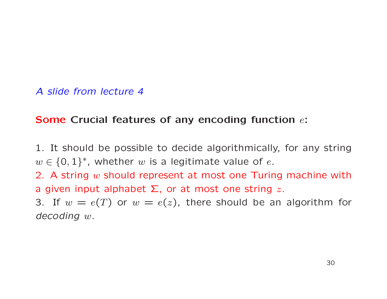#### Some Crucial features of any encoding function  $e$ :

1. It should be possible to decide algorithmically, for any string  $w \in \{0,1\}^*$ , whether w is a legitimate value of e.

2. A string  $w$  should represent at most one Turing machine with a given input alphabet  $\Sigma$ , or at most one string z.

3. If  $w = e(T)$  or  $w = e(z)$ , there should be an algorithm for decoding <sup>w</sup>.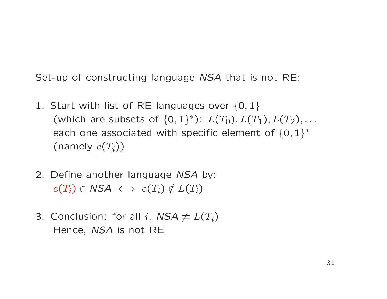Set-up of constructing language NSA that is not RE:

- 1. Start with list of RE languages over  $\{0,1\}$ (which are subsets of  $\{0,1\}^{\ast}$ ):  $L(T_{\mathsf{O}}), L(T_{\mathsf{1}}), L(T_{\mathsf{2}}), \ldots$ each one associated with specific element of  $\{0,1\}^*$ (namely  $e(T_i))$
- 2. Define another language NSA by:  $e(T_i) \in \mathsf{NSA} \iff e(T_i) \notin L(T_i)$
- 3. Conclusion: for all i,  $NSA \neq L(T_i)$ Hence, NSA is not RE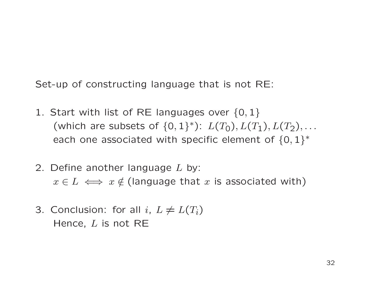Set-up of constructing language that is not RE:

- 1. Start with list of RE languages over  $\{0,1\}$ (which are subsets of  $\{0,1\}^{\ast}$ ):  $L(T_{\mathsf{O}}),L(T_{\mathsf{1}}),L(T_{\mathsf{2}}),\ldots$ each one associated with specific element of  $\{0,1\}^*$
- 2. Define another language  $L$  by:  $x\in L \iff x\notin$  (language that  $x$  is associated with)
- 3. Conclusion: for all  $i, L \neq L(T_i)$ Hence,  $L$  is not RE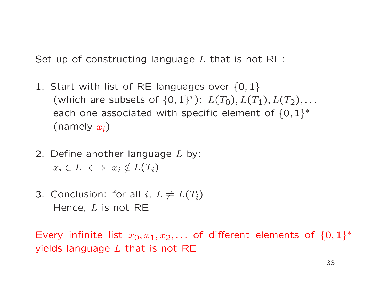Set-up of constructing language  $L$  that is not RE:

- 1. Start with list of RE languages over  $\{0,1\}$ (which are subsets of  $\{0,1\}^{\ast}$ ):  $L(T_{\mathsf{O}}),L(T_{\mathsf{1}}),L(T_{\mathsf{2}}),\ldots$ each one associated with specific element of  $\{0,1\}^*$ (namely  $x_i)$
- 2. Define another language  $L$  by:  $x_i \in L \iff x_i \notin L(T_i)$
- 3. Conclusion: for all  $i, L \neq L(T_i)$ Hence,  $L$  is not RE

Every infinite list  $x_0,x_1,x_2,\ldots$  of different elements of  $\{0,1\}^*$ yields language  $L$  that is not RE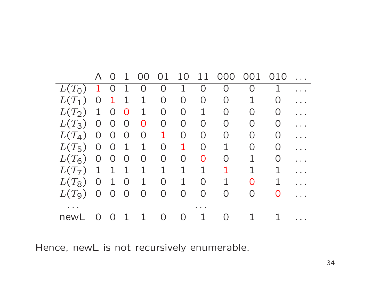|          | Λ              |                | $\mathbf 1$    | OΟ             | 01        | 10             |           | O(1)           | 001            | 010         |  |
|----------|----------------|----------------|----------------|----------------|-----------|----------------|-----------|----------------|----------------|-------------|--|
| $L(T_0)$ | $\mathbf 1$    | $\overline{O}$ | 1              | $\overline{O}$ | 0         | $\mathbf 1$    | O         | $\overline{0}$ | $\overline{O}$ | $\mathbf 1$ |  |
| $L(T_1)$ | $\overline{0}$ | $\mathbf 1$    | $\mathbf 1$    | $\mathbf{1}$   | $\Omega$  | $\overline{0}$ | O         | $\overline{0}$ | $\mathbf 1$    | 0           |  |
| $L(T_2)$ | $\mathbf 1$    | $\Omega$       | $\Omega$       | $\mathbf 1$    | 0         | $\overline{0}$ | 1         | $\overline{0}$ | O              | 0           |  |
| $L(T_3)$ | $\overline{0}$ | $\overline{0}$ | $\overline{0}$ | $\overline{O}$ | O         | O              | O         | 0              | O              | 0           |  |
| $L(T_4)$ | $\overline{0}$ | $\overline{O}$ | $\bigcap$      | $\overline{0}$ | 1         | O              | O         | O              | O              | O           |  |
| $L(T_5)$ | $\overline{O}$ | $\Omega$       | $\mathbf 1$    | $\mathbf 1$    | $\Omega$  |                | $\bigcap$ | 1              | O              | O           |  |
| $L(T_6)$ | $\overline{0}$ | $\Omega$       | $\Omega$       | $\Omega$       | $\Omega$  | $\overline{0}$ | O         | $\Omega$       |                | $\Omega$    |  |
| $L(T_7)$ | $\mathbf 1$    | $\mathbf{1}$   | $\mathbf{1}$   | $\mathbf{1}$   | 1         | $\mathbf 1$    | 1         | $\mathbf 1$    |                | $\mathbf 1$ |  |
| $L(T_8)$ | $\overline{O}$ | $\mathbf 1$    | $\Omega$       | $\mathbf{1}$   | $\Omega$  | $\mathbf{1}$   | $\cap$    | 1              | ∩              | 1           |  |
| $L(T_9)$ | $\overline{0}$ | $\Omega$       | $\Omega$       | $\bigcap$      | $\bigcap$ | $\bigcap$      | $\bigcap$ | $\Omega$       | $\Omega$       | 0           |  |
|          |                |                |                |                |           |                |           |                |                |             |  |
| newl     | $\bigcap$      |                |                |                |           |                |           | O              |                |             |  |

Hence, newL is not recursively enumerable.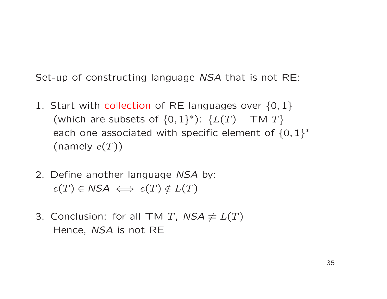Set-up of constructing language NSA that is not RE:

- 1. Start with collection of RE languages over  $\{0,1\}$ (which are subsets of  $\{0,1\}^*$ ):  $\{L(T) \mid T M T\}$ each one associated with specific element of  $\{0,1\}^*$ (namely  $e(T))$
- 2. Define another language NSA by:  $e(T) \in \mathsf{NSA} \iff e(T) \notin L(T)$
- 3. Conclusion: for all TM T,  $NSA \neq L(T)$ Hence, NSA is not RE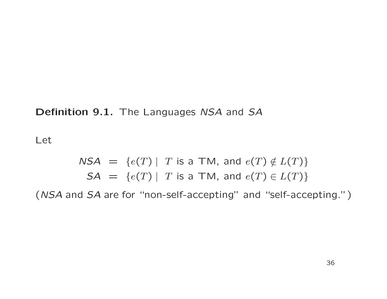#### Definition 9.1. The Languages NSA and SA

Let

\n
$$
\text{NSA} = \{e(T) \mid T \text{ is a TM, and } e(T) \notin L(T)\}
$$
\n

\n\n $\text{SA} = \{e(T) \mid T \text{ is a TM, and } e(T) \in L(T)\}$ \n

(NSA and SA are for "non-self-accepting" and "self-accepting.")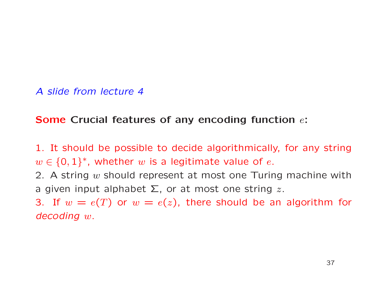#### Some Crucial features of any encoding function  $e$ :

1. It should be possible to decide algorithmically, for any string  $w \in \{0,1\}^*$ , whether w is a legitimate value of e.

2. A string  $w$  should represent at most one Turing machine with a given input alphabet  $\Sigma$ , or at most one string z.

3. If  $w = e(T)$  or  $w = e(z)$ , there should be an algorithm for decoding <sup>w</sup>.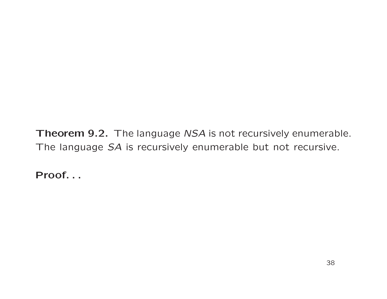Theorem 9.2. The language NSA is not recursively enumerable. The language SA is recursively enumerable but not recursive.

Proof. . .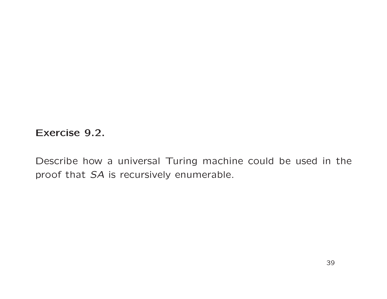Exercise 9.2.

Describe how a universal Turing machine could be used in the proof that SA is recursively enumerable.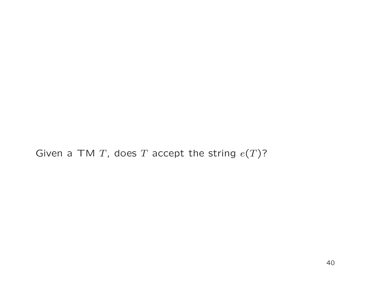Given a TM T, does T accept the string  $e(T)$ ?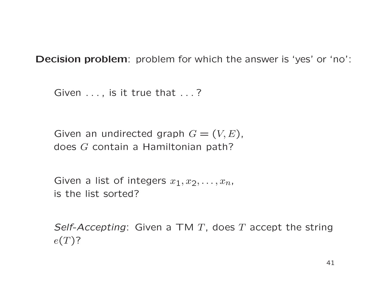Decision problem: problem for which the answer is 'yes' or 'no':

Given ..., is it true that ...?

Given an undirected graph  $G = (V, E)$ , does G contain <sup>a</sup> Hamiltonian path?

Given a list of integers  $x_1, x_2, \ldots, x_n$ , is the list sorted?

Self-Accepting: Given a TM  $T$ , does  $T$  accept the string  $e(T)$ ?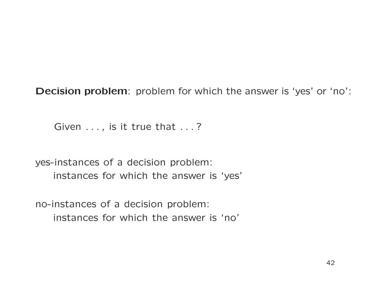Decision problem: problem for which the answer is 'yes' or 'no':

Given ..., is it true that ...?

yes-instances of <sup>a</sup> decision problem: instances for which the answer is 'yes'

no-instances of <sup>a</sup> decision problem: instances for which the answer is 'no'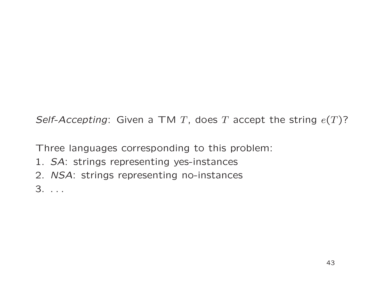Self-Accepting: Given a TM T, does T accept the string  $e(T)$ ?

Three languages corresponding to this problem:

- 1. SA: strings representing yes-instances
- 2. NSA: strings representing no-instances

3. . . .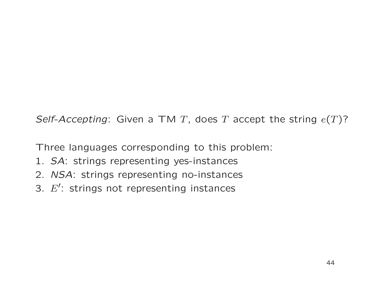Self-Accepting: Given a TM T, does T accept the string  $e(T)$ ?

Three languages corresponding to this problem:

- 1. SA: strings representing yes-instances
- 2. NSA: strings representing no-instances
- 3.  $E'$ : strings not representing instances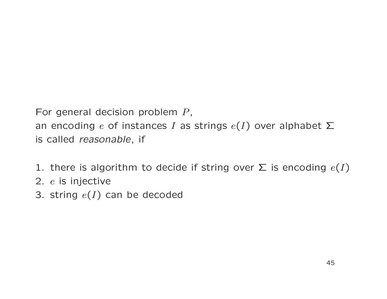For general decision problem  $P$ , an encoding  $e$  of instances  $I$  as strings  $e(I)$  over alphabet  $\Sigma$ is called reasonable, if

- 1. there is algorithm to decide if string over  $\Sigma$  is encoding  $e(I)$
- 2.  $\it e$  is injective
- 3. string  $e(I)$  can be decoded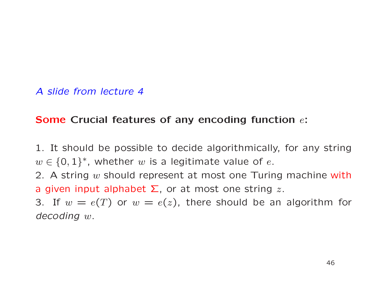#### Some Crucial features of any encoding function  $e$ :

1. It should be possible to decide algorithmically, for any string  $w \in \{0,1\}^*$ , whether w is a legitimate value of e.

2. A string  $w$  should represent at most one Turing machine with a given input alphabet  $\Sigma$ , or at most one string z.

3. If  $w = e(T)$  or  $w = e(z)$ , there should be an algorithm for decoding <sup>w</sup>.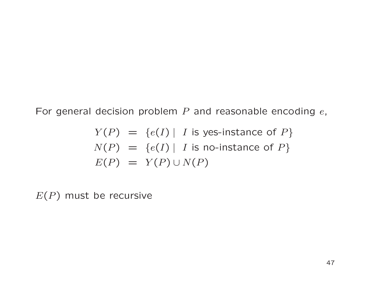For general decision problem  $P$  and reasonable encoding  $e$ ,

$$
Y(P) = \{e(I) | I \text{ is yes-instance of } P\}
$$
  

$$
N(P) = \{e(I) | I \text{ is no-instance of } P\}
$$
  

$$
E(P) = Y(P) \cup N(P)
$$

 $E(P)$  must be recursive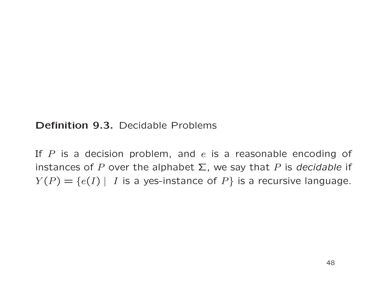#### Definition 9.3. Decidable Problems

If  $P$  is a decision problem, and  $e$  is a reasonable encoding of instances of P over the alphabet  $\Sigma$ , we say that P is decidable if  $Y(P) = \{e(I) | I$  is a yes-instance of  $P\}$  is a recursive language.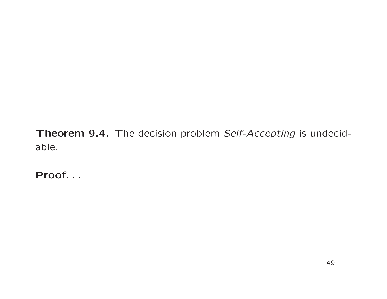Theorem 9.4. The decision problem Self-Accepting is undecidable.

Proof. . .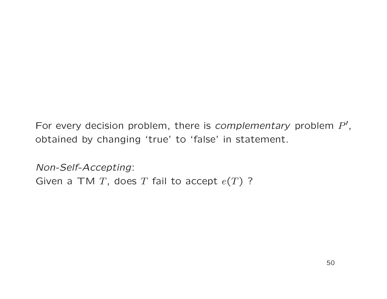For every decision problem, there is *complementary* problem  $P'$ , obtained by changing 'true' to 'false' in statement.

Non-Self-Accepting: Given a TM T, does T fail to accept  $e(T)$  ?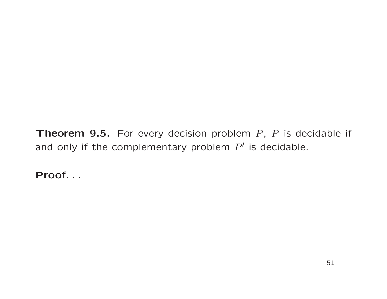**Theorem 9.5.** For every decision problem  $P$ ,  $P$  is decidable if and only if the complementary problem  $P'$  is decidable.

Proof. . .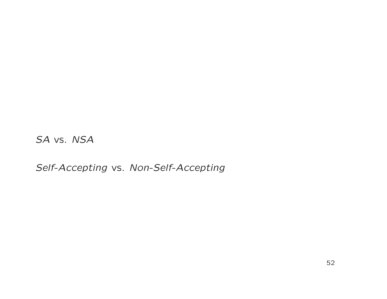SA vs. NSA

Self-Accepting vs. Non-Self-Accepting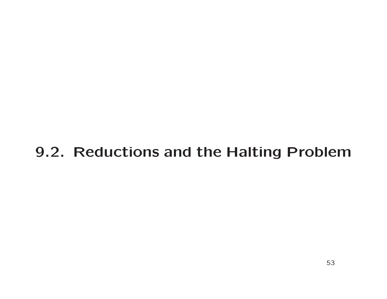# 9.2. Reductions and the Halting Problem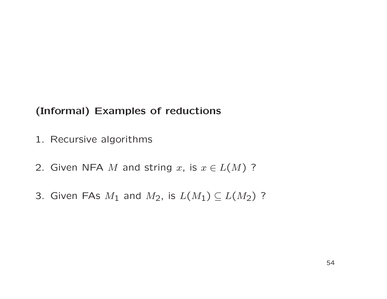#### (Informal) Examples of reductions

- 1. Recursive algorithms
- 2. Given NFA M and string x, is  $x \in L(M)$  ?
- 3. Given FAs  $M_1$  and  $M_2$ , is  $L(M_1) \subseteq L(M_2)$  ?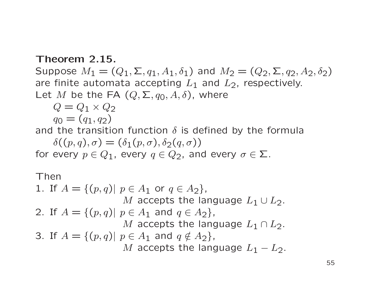#### Theorem 2.15.

Suppose  $M_1 = (Q_1, \Sigma, q_1, A_1, \delta_1)$  and  $M_2 = (Q_2, \Sigma, q_2, A_2, \delta_2)$ are finite automata accepting  $L_1$  and  $L_2$ , respectively. Let M be the FA  $(Q, \Sigma, q_0, A, \delta)$ , where

 $Q = Q_1 \times Q_2$ 

 $q_0 = (q_1, q_2)$ 

and the transition function  $\delta$  is defined by the formula

 $\delta((p,q),\sigma)=(\delta_1(p,\sigma),\delta_2(q,\sigma))$ for every  $p \in Q_1$ , every  $q \in Q_2$ , and every  $\sigma \in \Sigma$ .

Then

\n- 1. If 
$$
A = \{(p, q) | p \in A_1 \text{ or } q \in A_2\}
$$
,  $M$  accepts the language  $L_1 \cup L_2$ .
\n- 2. If  $A = \{(p, q) | p \in A_1 \text{ and } q \in A_2\}$ ,  $M$  accepts the language  $L_1 \cap L_2$ .
\n- 3. If  $A = \{(p, q) | p \in A_1 \text{ and } q \notin A_2\}$ ,  $M$  accepts the language  $L_1 - L_2$ .
\n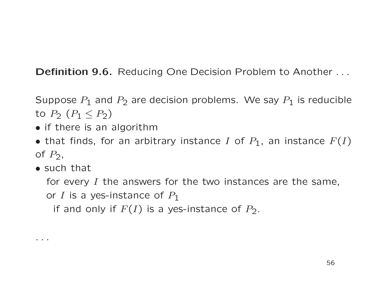Definition 9.6. Reducing One Decision Problem to Another . . .

Suppose  $P_1$  and  $P_2$  are decision problems. We say  $P_1$  is reducible to  $P_2$   $(P_1 \leq P_2)$ 

- if there is an algorithm
- that finds, for an arbitrary instance I of  $P_1$ , an instance  $F(I)$ of  $P_2$ ,
- such that

. . .

for every  $I$  the answers for the two instances are the same,

or I is a yes-instance of  $P_1$ 

if and only if  $F(I)$  is a yes-instance of  $P_2$ .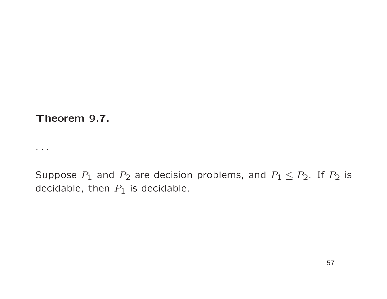Theorem 9.7.

. . . . .

Suppose  $P_1$  and  $P_2$  are decision problems, and  $P_1 \leq P_2$ . If  $P_2$  is decidable, then  $P_1$  is decidable.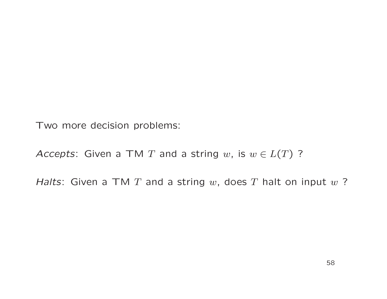Two more decision problems:

Accepts: Given a TM T and a string w, is  $w \in L(T)$  ?

Halts: Given a TM T and a string w, does T halt on input  $w$  ?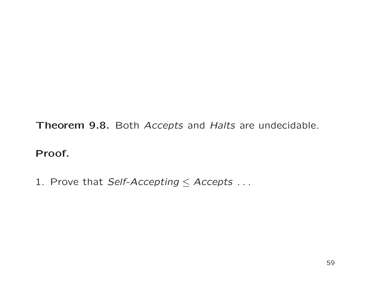Theorem 9.8. Both Accepts and Halts are undecidable.

#### Proof.

1. Prove that Self-Accepting  $\leq$  Accepts ...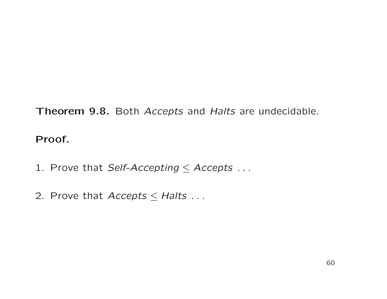Theorem 9.8. Both Accepts and Halts are undecidable.

Proof.

- 1. Prove that Self-Accepting  $\leq$  Accepts ...
- 2. Prove that  $Access \leq Halts$ ...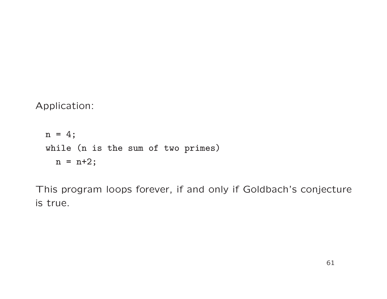Application:

```
n = 4;while (n is the sum of two primes)
 n = n+2;
```
This program loops forever, if and only if Goldbach's conjecture is true.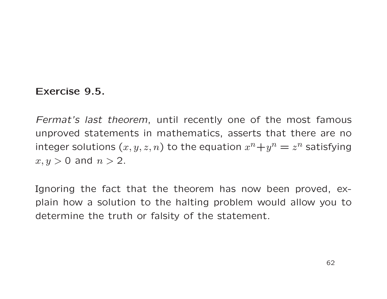#### Exercise 9.5.

Fermat's last theorem, until recently one of the most famous unproved statements in mathematics, asserts that there are no integer solutions  $(x, y, z, n)$  to the equation  $x^n+y^n = z^n$  satisfying  $x, y > 0$  and  $n > 2$ .

Ignoring the fact that the theorem has now been proved, explain how a solution to the halting problem would allow you to determine the truth or falsity of the statement.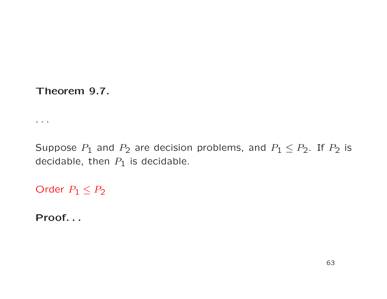Theorem 9.7.

Suppose  $P_1$  and  $P_2$  are decision problems, and  $P_1 \leq P_2$ . If  $P_2$  is decidable, then  $P_1$  is decidable.

Order  $P_1 \leq P_2$ 

Proof. . .

 $\sim$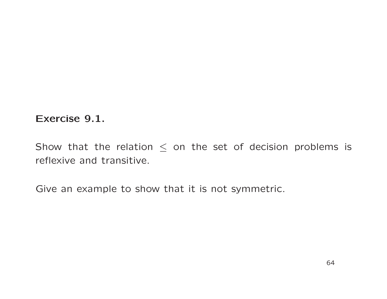#### Exercise 9.1.

Show that the relation  $\leq$  on the set of decision problems is reflexive and transitive.

Give an example to show that it is not symmetric.